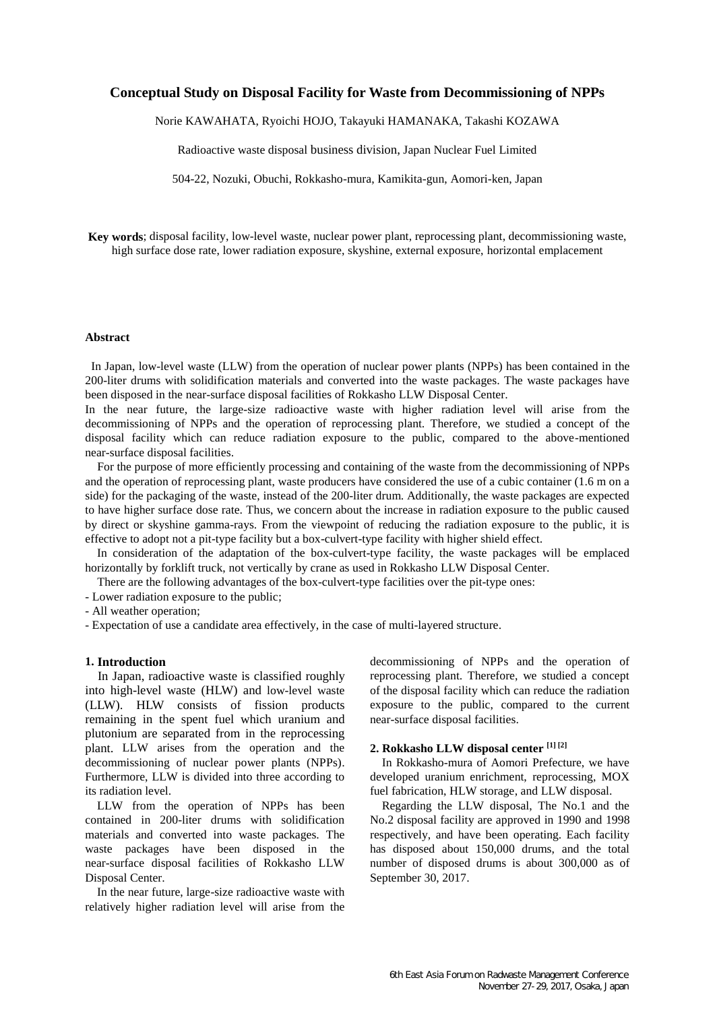# **Conceptual Study on Disposal Facility for Waste from Decommissioning of NPPs**

Norie KAWAHATA, Ryoichi HOJO, Takayuki HAMANAKA, Takashi KOZAWA

Radioactive waste disposal business division, Japan Nuclear Fuel Limited

504-22, Nozuki, Obuchi, Rokkasho-mura, Kamikita-gun, Aomori-ken, Japan

**Key words**; disposal facility, low-level waste, nuclear power plant, reprocessing plant, decommissioning waste, high surface dose rate, lower radiation exposure, skyshine, external exposure, horizontal emplacement

### **Abstract**

In Japan, low-level waste (LLW) from the operation of nuclear power plants (NPPs) has been contained in the 200-liter drums with solidification materials and converted into the waste packages. The waste packages have been disposed in the near-surface disposal facilities of Rokkasho LLW Disposal Center.

In the near future, the large-size radioactive waste with higher radiation level will arise from the decommissioning of NPPs and the operation of reprocessing plant. Therefore, we studied a concept of the disposal facility which can reduce radiation exposure to the public, compared to the above-mentioned near-surface disposal facilities.

For the purpose of more efficiently processing and containing of the waste from the decommissioning of NPPs and the operation of reprocessing plant, waste producers have considered the use of a cubic container (1.6 m on a side) for the packaging of the waste, instead of the 200-liter drum. Additionally, the waste packages are expected to have higher surface dose rate. Thus, we concern about the increase in radiation exposure to the public caused by direct or skyshine gamma-rays. From the viewpoint of reducing the radiation exposure to the public, it is effective to adopt not a pit-type facility but a box-culvert-type facility with higher shield effect.

In consideration of the adaptation of the box-culvert-type facility, the waste packages will be emplaced horizontally by forklift truck, not vertically by crane as used in Rokkasho LLW Disposal Center.

There are the following advantages of the box-culvert-type facilities over the pit-type ones:

- Lower radiation exposure to the public;

- All weather operation;

- Expectation of use a candidate area effectively, in the case of multi-layered structure.

### **1. Introduction**

In Japan, radioactive waste is classified roughly into high-level waste (HLW) and low-level waste (LLW). HLW consists of fission products remaining in the spent fuel which uranium and plutonium are separated from in the reprocessing plant. LLW arises from the operation and the decommissioning of nuclear power plants (NPPs). Furthermore, LLW is divided into three according to its radiation level.

LLW from the operation of NPPs has been contained in 200-liter drums with solidification materials and converted into waste packages. The waste packages have been disposed in the near-surface disposal facilities of Rokkasho LLW Disposal Center.

In the near future, large-size radioactive waste with relatively higher radiation level will arise from the

decommissioning of NPPs and the operation of reprocessing plant. Therefore, we studied a concept of the disposal facility which can reduce the radiation exposure to the public, compared to the current near-surface disposal facilities.

### **2. Rokkasho LLW disposal center [1] [2]**

In Rokkasho-mura of Aomori Prefecture, we have developed uranium enrichment, reprocessing, MOX fuel fabrication, HLW storage, and LLW disposal.

Regarding the LLW disposal, The No.1 and the No.2 disposal facility are approved in 1990 and 1998 respectively, and have been operating. Each facility has disposed about 150,000 drums, and the total number of disposed drums is about 300,000 as of September 30, 2017.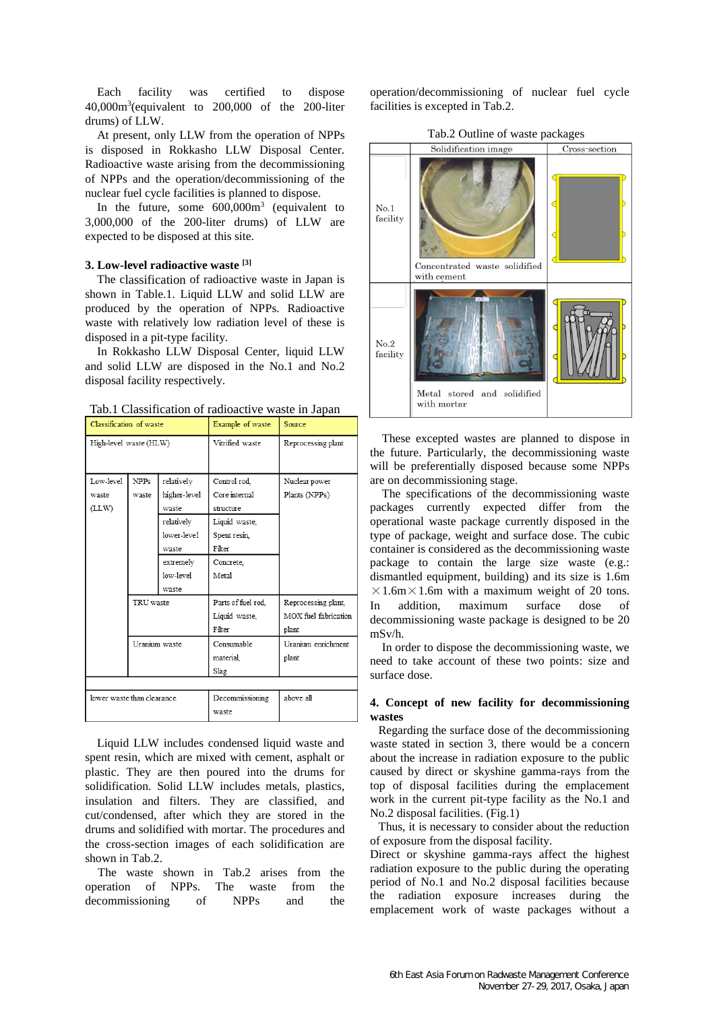Each facility was certified to dispose  $40,000\,\text{m}^3$  (equivalent to  $200,000$  of the 200-liter drums) of LLW.

At present, only LLW from the operation of NPPs is disposed in Rokkasho LLW Disposal Center. Radioactive waste arising from the decommissioning of NPPs and the operation/decommissioning of the nuclear fuel cycle facilities is planned to dispose.

In the future, some  $600,000m<sup>3</sup>$  (equivalent to 3,000,000 of the 200-liter drums) of LLW are expected to be disposed at this site.

### **3. Low-level radioactive waste [3]**

The classification of radioactive waste in Japan is shown in Table.1. Liquid LLW and solid LLW are produced by the operation of NPPs. Radioactive waste with relatively low radiation level of these is disposed in a pit-type facility.

In Rokkasho LLW Disposal Center, liquid LLW and solid LLW are disposed in the No.1 and No.2 disposal facility respectively.

| Tab.1 Classification of radioactive waste in Japan |  |
|----------------------------------------------------|--|
|----------------------------------------------------|--|

| Classification of waste    |               | Example of waste | Source                   |                      |  |
|----------------------------|---------------|------------------|--------------------------|----------------------|--|
| High-level waste (HLW)     |               | Vitrified waste  | Reprocessing plant       |                      |  |
| Low-level                  | NPPs          | relatively       | Control rod              | Nuclear power        |  |
| waste                      | waste         | higher-level     | Core internal            | Plants (NPPs)        |  |
| (LLW)                      |               | waste            | structure                |                      |  |
|                            |               | relatively       | Liquid waste,            |                      |  |
|                            |               | lower-level      | Spent resin,             |                      |  |
|                            |               | waste            | Filter                   |                      |  |
|                            |               | extremely        | Concrete,                |                      |  |
|                            |               | low-level        | Metal                    |                      |  |
|                            |               | waste            |                          |                      |  |
|                            | TRU waste     |                  | Parts of fuel rod.       | Reprocessing plant,  |  |
|                            |               |                  | Liquid waste,            | MOX fuel fabrication |  |
|                            | Uranium waste |                  | Filter                   | plant                |  |
|                            |               |                  | Consumable               | Uranium enrichment   |  |
|                            |               |                  | material                 | plant                |  |
|                            |               |                  | Slag                     |                      |  |
|                            |               |                  |                          |                      |  |
| lower waste than clearance |               |                  | Decommissioning<br>waste | above all            |  |

Liquid LLW includes condensed liquid waste and spent resin, which are mixed with cement, asphalt or plastic. They are then poured into the drums for solidification. Solid LLW includes metals, plastics, insulation and filters. They are classified, and cut/condensed, after which they are stored in the drums and solidified with mortar. The procedures and the cross-section images of each solidification are shown in Tab.2.

The waste shown in Tab.2 arises from the operation of NPPs. The waste from the decommissioning of NPPs and the

operation/decommissioning of nuclear fuel cycle facilities is excepted in Tab.2.

Tab.2 Outline of waste packages



These excepted wastes are planned to dispose in the future. Particularly, the decommissioning waste will be preferentially disposed because some NPPs are on decommissioning stage.

The specifications of the decommissioning waste packages currently expected differ from the operational waste package currently disposed in the type of package, weight and surface dose. The cubic container is considered as the decommissioning waste package to contain the large size waste (e.g.: dismantled equipment, building) and its size is 1.6m  $\times$ 1.6m $\times$ 1.6m with a maximum weight of 20 tons. In addition, maximum surface dose of decommissioning waste package is designed to be 20 mSv/h.

In order to dispose the decommissioning waste, we need to take account of these two points: size and surface dose.

## **4. Concept of new facility for decommissioning wastes**

Regarding the surface dose of the decommissioning waste stated in section 3, there would be a concern about the increase in radiation exposure to the public caused by direct or skyshine gamma-rays from the top of disposal facilities during the emplacement work in the current pit-type facility as the No.1 and No.2 disposal facilities. (Fig.1)

Thus, it is necessary to consider about the reduction of exposure from the disposal facility.

Direct or skyshine gamma-rays affect the highest radiation exposure to the public during the operating period of No.1 and No.2 disposal facilities because the radiation exposure increases during the emplacement work of waste packages without a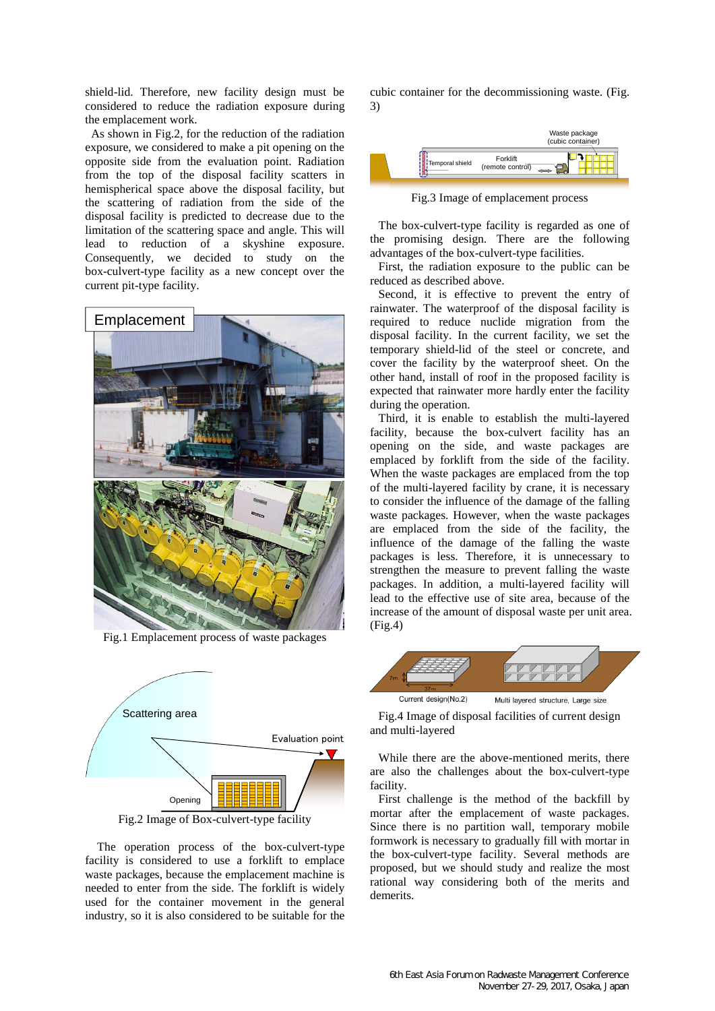shield-lid. Therefore, new facility design must be considered to reduce the radiation exposure during the emplacement work.

As shown in Fig.2, for the reduction of the radiation exposure, we considered to make a pit opening on the opposite side from the evaluation point. Radiation from the top of the disposal facility scatters in hemispherical space above the disposal facility, but the scattering of radiation from the side of the disposal facility is predicted to decrease due to the limitation of the scattering space and angle. This will lead to reduction of a skyshine exposure. Consequently, we decided to study on the box-culvert-type facility as a new concept over the current pit-type facility.



Fig.1 Emplacement process of waste packages



Fig.2 Image of Box-culvert-type facility

The operation process of the box-culvert-type facility is considered to use a forklift to emplace waste packages, because the emplacement machine is needed to enter from the side. The forklift is widely used for the container movement in the general industry, so it is also considered to be suitable for the cubic container for the decommissioning waste. (Fig. 3)



Fig.3 Image of emplacement process

The box-culvert-type facility is regarded as one of the promising design. There are the following advantages of the box-culvert-type facilities.

First, the radiation exposure to the public can be reduced as described above.

Second, it is effective to prevent the entry of rainwater. The waterproof of the disposal facility is required to reduce nuclide migration from the disposal facility. In the current facility, we set the temporary shield-lid of the steel or concrete, and cover the facility by the waterproof sheet. On the other hand, install of roof in the proposed facility is expected that rainwater more hardly enter the facility during the operation.

Third, it is enable to establish the multi-layered facility, because the box-culvert facility has an opening on the side, and waste packages are emplaced by forklift from the side of the facility. When the waste packages are emplaced from the top of the multi-layered facility by crane, it is necessary to consider the influence of the damage of the falling waste packages. However, when the waste packages are emplaced from the side of the facility, the influence of the damage of the falling the waste packages is less. Therefore, it is unnecessary to strengthen the measure to prevent falling the waste packages. In addition, a multi-layered facility will lead to the effective use of site area, because of the increase of the amount of disposal waste per unit area. (Fig.4)



Fig.4 Image of disposal facilities of current design and multi-layered

While there are the above-mentioned merits, there are also the challenges about the box-culvert-type facility.

First challenge is the method of the backfill by mortar after the emplacement of waste packages. Since there is no partition wall, temporary mobile formwork is necessary to gradually fill with mortar in the box-culvert-type facility. Several methods are proposed, but we should study and realize the most rational way considering both of the merits and demerits.